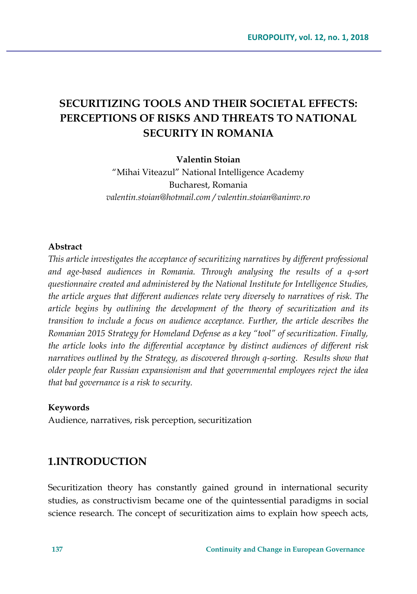# **SECURITIZING TOOLS AND THEIR SOCIETAL EFFECTS: PERCEPTIONS OF RISKS AND THREATS TO NATIONAL SECURITY IN ROMANIA**

### **Valentin Stoian**

"Mihai Viteazul" National Intelligence Academy Bucharest, Romania *valentin.stoian@hotmail.com / valentin.stoian@animv.ro*

### **Abstract**

*This article investigates the acceptance of securitizing narratives by different professional and age-based audiences in Romania. Through analysing the results of a q-sort questionnaire created and administered by the National Institute for Intelligence Studies, the article argues that different audiences relate very diversely to narratives of risk. The article begins by outlining the development of the theory of securitization and its transition to include a focus on audience acceptance. Further, the article describes the Romanian 2015 Strategy for Homeland Defense as a key "tool" of securitization. Finally, the article looks into the differential acceptance by distinct audiences of different risk narratives outlined by the Strategy, as discovered through q-sorting. Results show that older people fear Russian expansionism and that governmental employees reject the idea that bad governance is a risk to security.* 

#### **Keywords**

Audience, narratives, risk perception, securitization

## **1.INTRODUCTION**

Securitization theory has constantly gained ground in international security studies, as constructivism became one of the quintessential paradigms in social science research. The concept of securitization aims to explain how speech acts,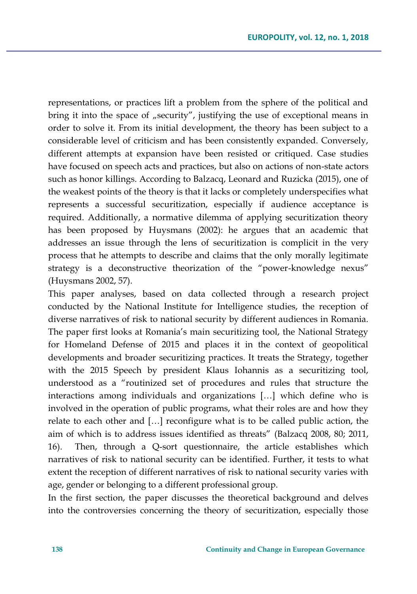representations, or practices lift a problem from the sphere of the political and bring it into the space of "security", justifying the use of exceptional means in order to solve it. From its initial development, the theory has been subject to a considerable level of criticism and has been consistently expanded. Conversely, different attempts at expansion have been resisted or critiqued. Case studies have focused on speech acts and practices, but also on actions of non-state actors such as honor killings. According to Balzacq, Leonard and Ruzicka (2015), one of the weakest points of the theory is that it lacks or completely underspecifies what represents a successful securitization, especially if audience acceptance is required. Additionally, a normative dilemma of applying securitization theory has been proposed by Huysmans (2002): he argues that an academic that addresses an issue through the lens of securitization is complicit in the very process that he attempts to describe and claims that the only morally legitimate strategy is a deconstructive theorization of the "power-knowledge nexus" (Huysmans 2002, 57).

This paper analyses, based on data collected through a research project conducted by the National Institute for Intelligence studies, the reception of diverse narratives of risk to national security by different audiences in Romania. The paper first looks at Romania's main securitizing tool, the National Strategy for Homeland Defense of 2015 and places it in the context of geopolitical developments and broader securitizing practices. It treats the Strategy, together with the 2015 Speech by president Klaus Iohannis as a securitizing tool, understood as a "routinized set of procedures and rules that structure the interactions among individuals and organizations […] which define who is involved in the operation of public programs, what their roles are and how they relate to each other and […] reconfigure what is to be called public action, the aim of which is to address issues identified as threats" (Balzacq 2008, 80; 2011, 16). Then, through a Q-sort questionnaire, the article establishes which narratives of risk to national security can be identified. Further, it tests to what extent the reception of different narratives of risk to national security varies with age, gender or belonging to a different professional group.

In the first section, the paper discusses the theoretical background and delves into the controversies concerning the theory of securitization, especially those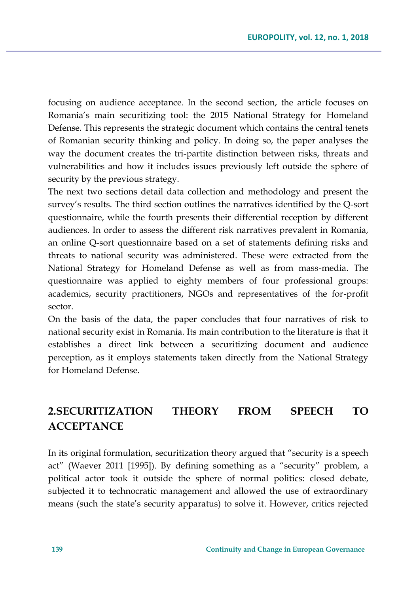focusing on audience acceptance. In the second section, the article focuses on Romania's main securitizing tool: the 2015 National Strategy for Homeland Defense. This represents the strategic document which contains the central tenets of Romanian security thinking and policy. In doing so, the paper analyses the way the document creates the tri-partite distinction between risks, threats and vulnerabilities and how it includes issues previously left outside the sphere of security by the previous strategy.

The next two sections detail data collection and methodology and present the survey's results. The third section outlines the narratives identified by the Q-sort questionnaire, while the fourth presents their differential reception by different audiences. In order to assess the different risk narratives prevalent in Romania, an online Q-sort questionnaire based on a set of statements defining risks and threats to national security was administered. These were extracted from the National Strategy for Homeland Defense as well as from mass-media. The questionnaire was applied to eighty members of four professional groups: academics, security practitioners, NGOs and representatives of the for-profit sector.

On the basis of the data, the paper concludes that four narratives of risk to national security exist in Romania. Its main contribution to the literature is that it establishes a direct link between a securitizing document and audience perception, as it employs statements taken directly from the National Strategy for Homeland Defense.

# **2.SECURITIZATION THEORY FROM SPEECH TO ACCEPTANCE**

In its original formulation, securitization theory argued that "security is a speech act" (Waever 2011 [1995]). By defining something as a "security" problem, a political actor took it outside the sphere of normal politics: closed debate, subjected it to technocratic management and allowed the use of extraordinary means (such the state's security apparatus) to solve it. However, critics rejected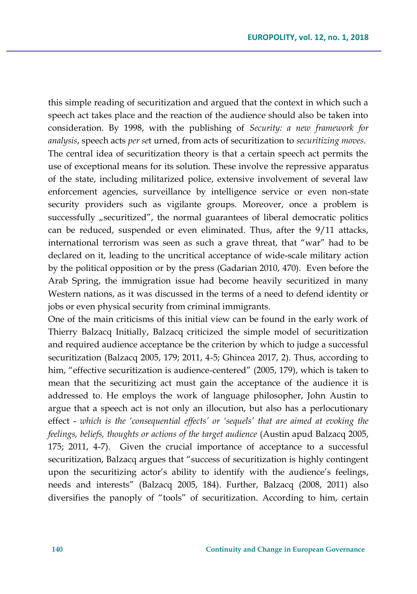this simple reading of securitization and argued that the context in which such a speech act takes place and the reaction of the audience should also be taken into consideration. By 1998, with the publishing of *Security: a new framework for analysis*, speech acts *per se*t urned, from acts of securitization to *securitizing moves*. The central idea of securitization theory is that a certain speech act permits the use of exceptional means for its solution. These involve the repressive apparatus of the state, including militarized police, extensive involvement of several law enforcement agencies, surveillance by intelligence service or even non-state security providers such as vigilante groups. Moreover, once a problem is successfully "securitized", the normal guarantees of liberal democratic politics can be reduced, suspended or even eliminated. Thus, after the 9/11 attacks, international terrorism was seen as such a grave threat, that "war" had to be declared on it, leading to the uncritical acceptance of wide-scale military action by the political opposition or by the press (Gadarian 2010, 470). Even before the Arab Spring, the immigration issue had become heavily securitized in many Western nations, as it was discussed in the terms of a need to defend identity or jobs or even physical security from criminal immigrants.

One of the main criticisms of this initial view can be found in the early work of Thierry Balzacq Initially, Balzacq criticized the simple model of securitization and required audience acceptance be the criterion by which to judge a successful securitization (Balzacq 2005, 179; 2011, 4-5; Ghincea 2017, 2). Thus, according to him, "effective securitization is audience-centered" (2005, 179), which is taken to mean that the securitizing act must gain the acceptance of the audience it is addressed to. He employs the work of language philosopher, John Austin to argue that a speech act is not only an illocution, but also has a perlocutionary effect - *which is the 'consequential effects' or 'sequels' that are aimed at evoking the feelings, beliefs, thoughts or actions of the target audience* (Austin apud Balzacq 2005, 175; 2011, 4-7). Given the crucial importance of acceptance to a successful securitization, Balzacq argues that "success of securitization is highly contingent upon the securitizing actor's ability to identify with the audience's feelings, needs and interests" (Balzacq 2005, 184). Further, Balzacq (2008, 2011) also diversifies the panoply of "tools" of securitization. According to him, certain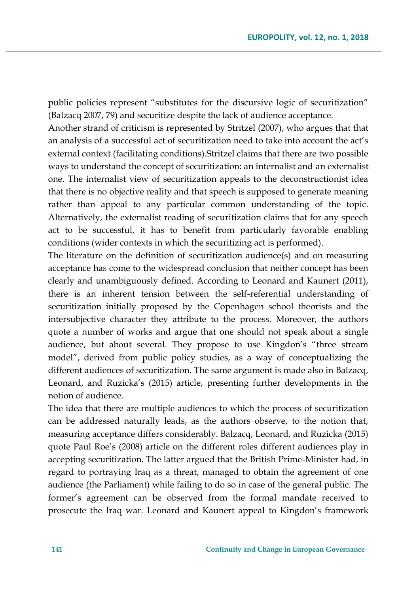public policies represent "substitutes for the discursive logic of securitization" (Balzacq 2007, 79) and securitize despite the lack of audience acceptance.

Another strand of criticism is represented by Stritzel (2007), who argues that that an analysis of a successful act of securitization need to take into account the act's external context (facilitating conditions).Stritzel claims that there are two possible ways to understand the concept of securitization: an internalist and an externalist one. The internalist view of securitization appeals to the deconstructionist idea that there is no objective reality and that speech is supposed to generate meaning rather than appeal to any particular common understanding of the topic. Alternatively, the externalist reading of securitization claims that for any speech act to be successful, it has to benefit from particularly favorable enabling conditions (wider contexts in which the securitizing act is performed).

The literature on the definition of securitization audience(s) and on measuring acceptance has come to the widespread conclusion that neither concept has been clearly and unambiguously defined. According to Leonard and Kaunert (2011), there is an inherent tension between the self-referential understanding of securitization initially proposed by the Copenhagen school theorists and the intersubjective character they attribute to the process. Moreover, the authors quote a number of works and argue that one should not speak about a single audience, but about several. They propose to use Kingdon's "three stream model", derived from public policy studies, as a way of conceptualizing the different audiences of securitization. The same argument is made also in Balzacq, Leonard, and Ruzicka's (2015) article, presenting further developments in the notion of audience.

The idea that there are multiple audiences to which the process of securitization can be addressed naturally leads, as the authors observe, to the notion that, measuring acceptance differs considerably. Balzacq, Leonard, and Ruzicka (2015) quote Paul Roe's (2008) article on the different roles different audiences play in accepting securitization. The latter argued that the British Prime-Minister had, in regard to portraying Iraq as a threat, managed to obtain the agreement of one audience (the Parliament) while failing to do so in case of the general public. The former's agreement can be observed from the formal mandate received to prosecute the Iraq war. Leonard and Kaunert appeal to Kingdon's framework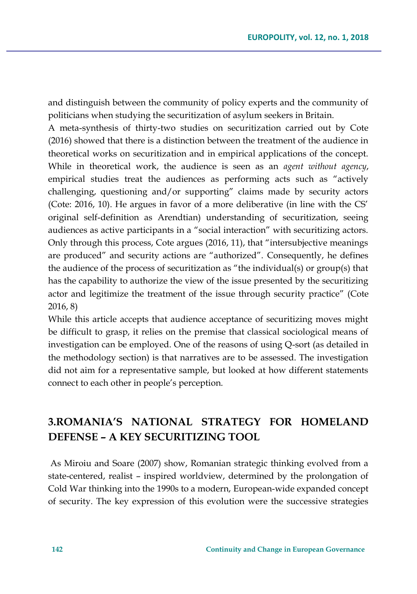and distinguish between the community of policy experts and the community of politicians when studying the securitization of asylum seekers in Britain.

A meta-synthesis of thirty-two studies on securitization carried out by Cote (2016) showed that there is a distinction between the treatment of the audience in theoretical works on securitization and in empirical applications of the concept. While in theoretical work, the audience is seen as an *agent without agency*, empirical studies treat the audiences as performing acts such as "actively challenging, questioning and/or supporting" claims made by security actors (Cote: 2016, 10). He argues in favor of a more deliberative (in line with the CS' original self-definition as Arendtian) understanding of securitization, seeing audiences as active participants in a "social interaction" with securitizing actors. Only through this process, Cote argues (2016, 11), that "intersubjective meanings are produced" and security actions are "authorized". Consequently, he defines the audience of the process of securitization as "the individual(s) or group(s) that has the capability to authorize the view of the issue presented by the securitizing actor and legitimize the treatment of the issue through security practice" (Cote 2016, 8)

While this article accepts that audience acceptance of securitizing moves might be difficult to grasp, it relies on the premise that classical sociological means of investigation can be employed. One of the reasons of using Q-sort (as detailed in the methodology section) is that narratives are to be assessed. The investigation did not aim for a representative sample, but looked at how different statements connect to each other in people's perception.

# **3.ROMANIA'S NATIONAL STRATEGY FOR HOMELAND DEFENSE – A KEY SECURITIZING TOOL**

As Miroiu and Soare (2007) show, Romanian strategic thinking evolved from a state-centered, realist – inspired worldview, determined by the prolongation of Cold War thinking into the 1990s to a modern, European-wide expanded concept of security. The key expression of this evolution were the successive strategies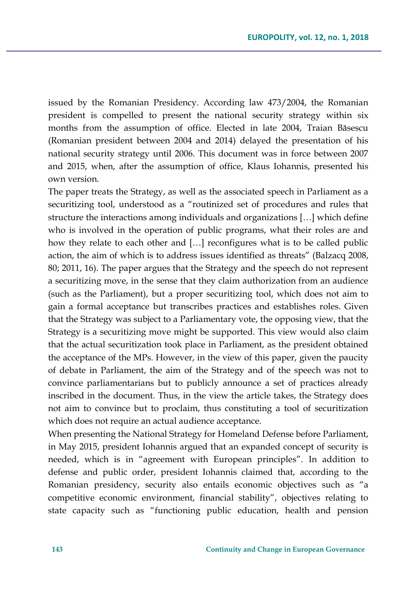issued by the Romanian Presidency. According law 473/2004, the Romanian president is compelled to present the national security strategy within six months from the assumption of office. Elected in late 2004, Traian Băsescu (Romanian president between 2004 and 2014) delayed the presentation of his national security strategy until 2006. This document was in force between 2007 and 2015, when, after the assumption of office, Klaus Iohannis, presented his own version.

The paper treats the Strategy, as well as the associated speech in Parliament as a securitizing tool, understood as a "routinized set of procedures and rules that structure the interactions among individuals and organizations […] which define who is involved in the operation of public programs, what their roles are and how they relate to each other and […] reconfigures what is to be called public action, the aim of which is to address issues identified as threats" (Balzacq 2008, 80; 2011, 16). The paper argues that the Strategy and the speech do not represent a securitizing move, in the sense that they claim authorization from an audience (such as the Parliament), but a proper securitizing tool, which does not aim to gain a formal acceptance but transcribes practices and establishes roles. Given that the Strategy was subject to a Parliamentary vote, the opposing view, that the Strategy is a securitizing move might be supported. This view would also claim that the actual securitization took place in Parliament, as the president obtained the acceptance of the MPs. However, in the view of this paper, given the paucity of debate in Parliament, the aim of the Strategy and of the speech was not to convince parliamentarians but to publicly announce a set of practices already inscribed in the document. Thus, in the view the article takes, the Strategy does not aim to convince but to proclaim, thus constituting a tool of securitization which does not require an actual audience acceptance.

When presenting the National Strategy for Homeland Defense before Parliament, in May 2015, president Iohannis argued that an expanded concept of security is needed, which is in "agreement with European principles". In addition to defense and public order, president Iohannis claimed that, according to the Romanian presidency, security also entails economic objectives such as "a competitive economic environment, financial stability", objectives relating to state capacity such as "functioning public education, health and pension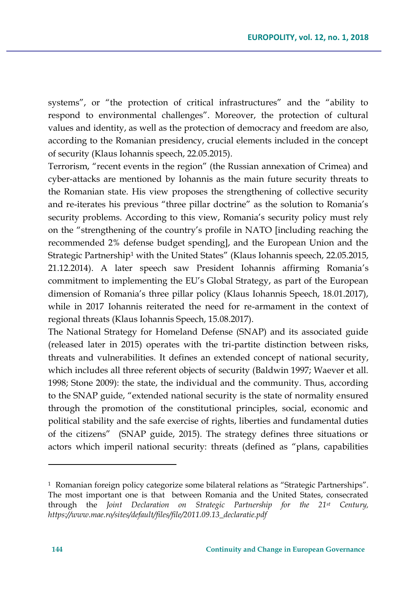systems", or "the protection of critical infrastructures" and the "ability to respond to environmental challenges". Moreover, the protection of cultural values and identity, as well as the protection of democracy and freedom are also, according to the Romanian presidency, crucial elements included in the concept of security (Klaus Iohannis speech, 22.05.2015).

Terrorism, "recent events in the region" (the Russian annexation of Crimea) and cyber-attacks are mentioned by Iohannis as the main future security threats to the Romanian state. His view proposes the strengthening of collective security and re-iterates his previous "three pillar doctrine" as the solution to Romania's security problems. According to this view, Romania's security policy must rely on the "strengthening of the country's profile in NATO [including reaching the recommended 2% defense budget spending], and the European Union and the Strategic Partnership<sup>1</sup> with the United States" (Klaus Iohannis speech, 22.05.2015, 21.12.2014). A later speech saw President Iohannis affirming Romania's commitment to implementing the EU's Global Strategy, as part of the European dimension of Romania's three pillar policy (Klaus Iohannis Speech, 18.01.2017), while in 2017 Iohannis reiterated the need for re-armament in the context of regional threats (Klaus Iohannis Speech, 15.08.2017).

The National Strategy for Homeland Defense (SNAP) and its associated guide (released later in 2015) operates with the tri-partite distinction between risks, threats and vulnerabilities. It defines an extended concept of national security, which includes all three referent objects of security (Baldwin 1997; Waever et all. 1998; Stone 2009): the state, the individual and the community. Thus, according to the SNAP guide, "extended national security is the state of normality ensured through the promotion of the constitutional principles, social, economic and political stability and the safe exercise of rights, liberties and fundamental duties of the citizens" (SNAP guide, 2015). The strategy defines three situations or actors which imperil national security: threats (defined as "plans, capabilities

 $\overline{a}$ 

<sup>1</sup> Romanian foreign policy categorize some bilateral relations as "Strategic Partnerships". The most important one is that between Romania and the United States, consecrated through the *Joint Declaration on Strategic Partnership for the 21st Century, https://www.mae.ro/sites/default/files/file/2011.09.13\_declaratie.pdf*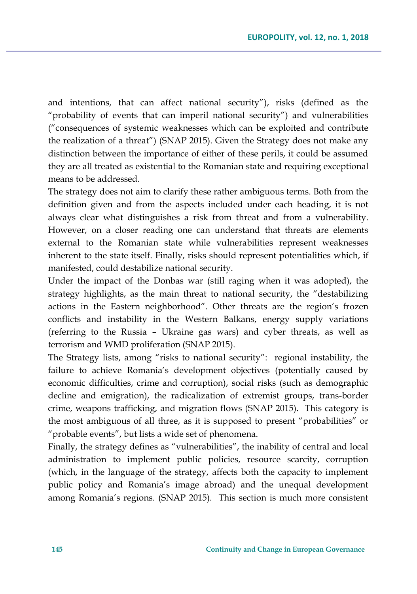and intentions, that can affect national security"), risks (defined as the "probability of events that can imperil national security") and vulnerabilities ("consequences of systemic weaknesses which can be exploited and contribute the realization of a threat") (SNAP 2015). Given the Strategy does not make any distinction between the importance of either of these perils, it could be assumed they are all treated as existential to the Romanian state and requiring exceptional means to be addressed.

The strategy does not aim to clarify these rather ambiguous terms. Both from the definition given and from the aspects included under each heading, it is not always clear what distinguishes a risk from threat and from a vulnerability. However, on a closer reading one can understand that threats are elements external to the Romanian state while vulnerabilities represent weaknesses inherent to the state itself. Finally, risks should represent potentialities which, if manifested, could destabilize national security.

Under the impact of the Donbas war (still raging when it was adopted), the strategy highlights, as the main threat to national security, the "destabilizing actions in the Eastern neighborhood". Other threats are the region's frozen conflicts and instability in the Western Balkans, energy supply variations (referring to the Russia – Ukraine gas wars) and cyber threats, as well as terrorism and WMD proliferation (SNAP 2015).

The Strategy lists, among "risks to national security": regional instability, the failure to achieve Romania's development objectives (potentially caused by economic difficulties, crime and corruption), social risks (such as demographic decline and emigration), the radicalization of extremist groups, trans-border crime, weapons trafficking, and migration flows (SNAP 2015). This category is the most ambiguous of all three, as it is supposed to present "probabilities" or "probable events", but lists a wide set of phenomena.

Finally, the strategy defines as "vulnerabilities", the inability of central and local administration to implement public policies, resource scarcity, corruption (which, in the language of the strategy, affects both the capacity to implement public policy and Romania's image abroad) and the unequal development among Romania's regions. (SNAP 2015). This section is much more consistent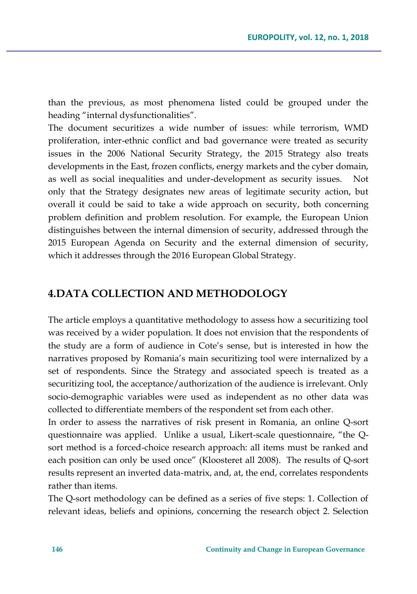than the previous, as most phenomena listed could be grouped under the heading "internal dysfunctionalities".

The document securitizes a wide number of issues: while terrorism, WMD proliferation, inter-ethnic conflict and bad governance were treated as security issues in the 2006 National Security Strategy, the 2015 Strategy also treats developments in the East, frozen conflicts, energy markets and the cyber domain, as well as social inequalities and under-development as security issues. Not only that the Strategy designates new areas of legitimate security action, but overall it could be said to take a wide approach on security, both concerning problem definition and problem resolution. For example, the European Union distinguishes between the internal dimension of security, addressed through the 2015 European Agenda on Security and the external dimension of security, which it addresses through the 2016 European Global Strategy.

## **4.DATA COLLECTION AND METHODOLOGY**

The article employs a quantitative methodology to assess how a securitizing tool was received by a wider population. It does not envision that the respondents of the study are a form of audience in Cote's sense, but is interested in how the narratives proposed by Romania's main securitizing tool were internalized by a set of respondents. Since the Strategy and associated speech is treated as a securitizing tool, the acceptance/authorization of the audience is irrelevant. Only socio-demographic variables were used as independent as no other data was collected to differentiate members of the respondent set from each other.

In order to assess the narratives of risk present in Romania, an online Q-sort questionnaire was applied. Unlike a usual, Likert-scale questionnaire, "the Qsort method is a forced-choice research approach: all items must be ranked and each position can only be used once" (Kloosteret all 2008). The results of Q-sort results represent an inverted data-matrix, and, at, the end, correlates respondents rather than items.

The Q-sort methodology can be defined as a series of five steps: 1. Collection of relevant ideas, beliefs and opinions, concerning the research object 2. Selection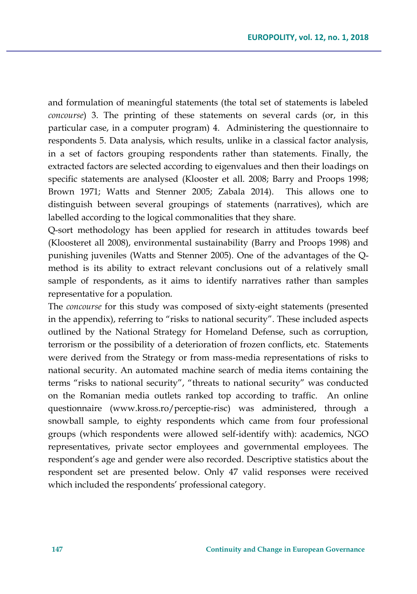and formulation of meaningful statements (the total set of statements is labeled *concourse*) 3. The printing of these statements on several cards (or, in this particular case, in a computer program) 4. Administering the questionnaire to respondents 5. Data analysis, which results, unlike in a classical factor analysis, in a set of factors grouping respondents rather than statements. Finally, the extracted factors are selected according to eigenvalues and then their loadings on specific statements are analysed (Klooster et all. 2008; Barry and Proops 1998; Brown 1971; Watts and Stenner 2005; Zabala 2014). This allows one to distinguish between several groupings of statements (narratives), which are labelled according to the logical commonalities that they share.

Q-sort methodology has been applied for research in attitudes towards beef (Kloosteret all 2008), environmental sustainability (Barry and Proops 1998) and punishing juveniles (Watts and Stenner 2005). One of the advantages of the Qmethod is its ability to extract relevant conclusions out of a relatively small sample of respondents, as it aims to identify narratives rather than samples representative for a population.

The *concourse* for this study was composed of sixty-eight statements (presented in the appendix), referring to "risks to national security". These included aspects outlined by the National Strategy for Homeland Defense, such as corruption, terrorism or the possibility of a deterioration of frozen conflicts, etc. Statements were derived from the Strategy or from mass-media representations of risks to national security. An automated machine search of media items containing the terms "risks to national security", "threats to national security" was conducted on the Romanian media outlets ranked top according to traffic. An online questionnaire (www.kross.ro/perceptie-risc) was administered, through a snowball sample, to eighty respondents which came from four professional groups (which respondents were allowed self-identify with): academics, NGO representatives, private sector employees and governmental employees. The respondent's age and gender were also recorded. Descriptive statistics about the respondent set are presented below. Only 47 valid responses were received which included the respondents' professional category.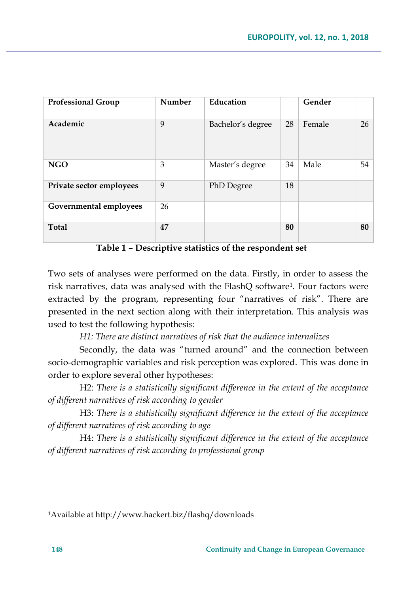| <b>Professional Group</b> | Number | Education         |    | Gender |    |
|---------------------------|--------|-------------------|----|--------|----|
| Academic                  | 9      | Bachelor's degree | 28 | Female | 26 |
| <b>NGO</b>                | 3      | Master's degree   | 34 | Male   | 54 |
| Private sector employees  | 9      | PhD Degree        | 18 |        |    |
| Governmental employees    | 26     |                   |    |        |    |
| <b>Total</b>              | 47     |                   | 80 |        | 80 |

**Table 1 – Descriptive statistics of the respondent set** 

Two sets of analyses were performed on the data. Firstly, in order to assess the risk narratives, data was analysed with the FlashQ software<sup>1</sup> . Four factors were extracted by the program, representing four "narratives of risk". There are presented in the next section along with their interpretation. This analysis was used to test the following hypothesis:

*H1: There are distinct narratives of risk that the audience internalizes* 

Secondly, the data was "turned around" and the connection between socio-demographic variables and risk perception was explored. This was done in order to explore several other hypotheses:

H2: *There is a statistically significant difference in the extent of the acceptance of different narratives of risk according to gender*

H3: *There is a statistically significant difference in the extent of the acceptance of different narratives of risk according to age*

H4: *There is a statistically significant difference in the extent of the acceptance of different narratives of risk according to professional group*

 $\overline{a}$ 

<sup>1</sup>Available at http://www.hackert.biz/flashq/downloads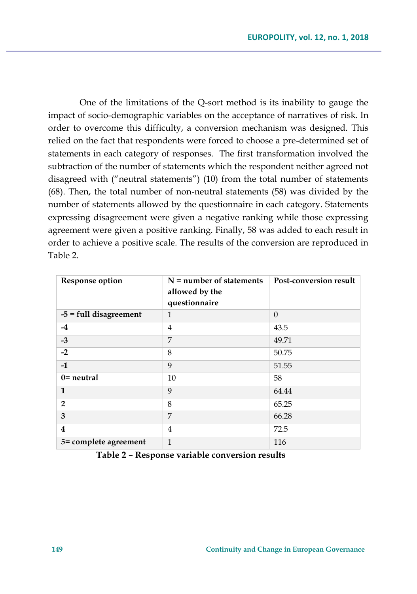One of the limitations of the Q-sort method is its inability to gauge the impact of socio-demographic variables on the acceptance of narratives of risk. In order to overcome this difficulty, a conversion mechanism was designed. This relied on the fact that respondents were forced to choose a pre-determined set of statements in each category of responses. The first transformation involved the subtraction of the number of statements which the respondent neither agreed not disagreed with ("neutral statements") (10) from the total number of statements (68). Then, the total number of non-neutral statements (58) was divided by the number of statements allowed by the questionnaire in each category. Statements expressing disagreement were given a negative ranking while those expressing agreement were given a positive ranking. Finally, 58 was added to each result in order to achieve a positive scale. The results of the conversion are reproduced in Table 2.

| <b>Response option</b> | $N =$ number of statements<br>allowed by the<br>questionnaire | Post-conversion result |
|------------------------|---------------------------------------------------------------|------------------------|
| -5 = full disagreement | 1                                                             | $\Omega$               |
| -4                     | 4                                                             | 43.5                   |
| $-3$                   | 7                                                             | 49.71                  |
| $-2$                   | 8                                                             | 50.75                  |
| $-1$                   | 9                                                             | 51.55                  |
| $0$ = neutral          | 10                                                            | 58                     |
| $\mathbf{1}$           | 9                                                             | 64.44                  |
| $\overline{2}$         | 8                                                             | 65.25                  |
| 3                      | 7                                                             | 66.28                  |
| 4                      | 4                                                             | 72.5                   |
| 5= complete agreement  | $\mathbf{1}$                                                  | 116                    |

**Table 2 – Response variable conversion results**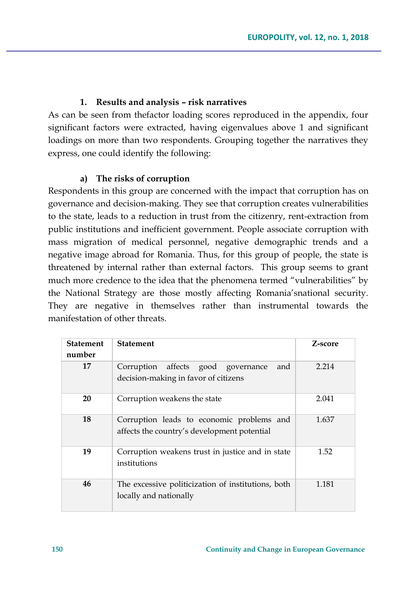### **1. Results and analysis – risk narratives**

As can be seen from thefactor loading scores reproduced in the appendix, four significant factors were extracted, having eigenvalues above 1 and significant loadings on more than two respondents. Grouping together the narratives they express, one could identify the following:

### **a) The risks of corruption**

Respondents in this group are concerned with the impact that corruption has on governance and decision-making. They see that corruption creates vulnerabilities to the state, leads to a reduction in trust from the citizenry, rent-extraction from public institutions and inefficient government. People associate corruption with mass migration of medical personnel, negative demographic trends and a negative image abroad for Romania. Thus, for this group of people, the state is threatened by internal rather than external factors. This group seems to grant much more credence to the idea that the phenomena termed "vulnerabilities" by the National Strategy are those mostly affecting Romania'snational security. They are negative in themselves rather than instrumental towards the manifestation of other threats.

| <b>Statement</b><br>number | <b>Statement</b>                                                                         | Z-score |
|----------------------------|------------------------------------------------------------------------------------------|---------|
| 17                         | Corruption affects good governance<br>and<br>decision-making in favor of citizens        | 2.214   |
| 20                         | Corruption weakens the state                                                             | 2.041   |
| 18                         | Corruption leads to economic problems and<br>affects the country's development potential | 1.637   |
| 19                         | Corruption weakens trust in justice and in state<br>institutions                         | 1.52    |
| 46                         | The excessive politicization of institutions, both<br>locally and nationally             | 1.181   |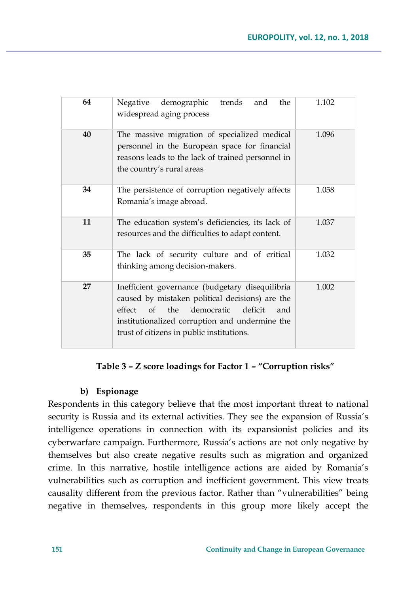| 64 | demographic<br>Negative<br>trends<br>the<br>and<br>widespread aging process                                                                                                                                                                           | 1.102 |
|----|-------------------------------------------------------------------------------------------------------------------------------------------------------------------------------------------------------------------------------------------------------|-------|
| 40 | The massive migration of specialized medical<br>personnel in the European space for financial<br>reasons leads to the lack of trained personnel in<br>the country's rural areas                                                                       | 1.096 |
| 34 | The persistence of corruption negatively affects<br>Romania's image abroad.                                                                                                                                                                           | 1.058 |
| 11 | The education system's deficiencies, its lack of<br>resources and the difficulties to adapt content.                                                                                                                                                  | 1.037 |
| 35 | The lack of security culture and of critical<br>thinking among decision-makers.                                                                                                                                                                       | 1.032 |
| 27 | Inefficient governance (budgetary disequilibria<br>caused by mistaken political decisions) are the<br>democratic<br>effect<br>of the<br>deficit<br>and<br>institutionalized corruption and undermine the<br>trust of citizens in public institutions. | 1.002 |

## **Table 3 – Z score loadings for Factor 1 – "Corruption risks"**

## **b) Espionage**

Respondents in this category believe that the most important threat to national security is Russia and its external activities. They see the expansion of Russia's intelligence operations in connection with its expansionist policies and its cyberwarfare campaign. Furthermore, Russia's actions are not only negative by themselves but also create negative results such as migration and organized crime. In this narrative, hostile intelligence actions are aided by Romania's vulnerabilities such as corruption and inefficient government. This view treats causality different from the previous factor. Rather than "vulnerabilities" being negative in themselves, respondents in this group more likely accept the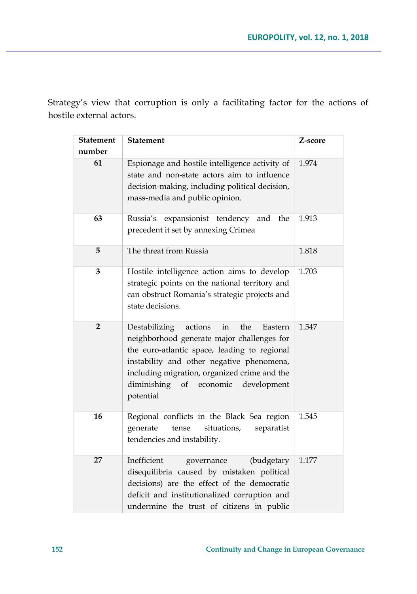Strategy's view that corruption is only a facilitating factor for the actions of hostile external actors.

| <b>Statement</b><br>number | <b>Statement</b>                                                                                                                                                                                                                                                                                         | Z-score |
|----------------------------|----------------------------------------------------------------------------------------------------------------------------------------------------------------------------------------------------------------------------------------------------------------------------------------------------------|---------|
|                            |                                                                                                                                                                                                                                                                                                          |         |
| 61                         | Espionage and hostile intelligence activity of<br>state and non-state actors aim to influence<br>decision-making, including political decision,<br>mass-media and public opinion.                                                                                                                        | 1.974   |
| 63                         | Russia's<br>expansionist tendency<br>and<br>the<br>precedent it set by annexing Crimea                                                                                                                                                                                                                   | 1.913   |
| 5                          | The threat from Russia                                                                                                                                                                                                                                                                                   | 1.818   |
| 3                          | Hostile intelligence action aims to develop<br>strategic points on the national territory and<br>can obstruct Romania's strategic projects and<br>state decisions.                                                                                                                                       | 1.703   |
| $\overline{2}$             | Destabilizing<br>actions<br>the<br>in<br>Eastern<br>neighborhood generate major challenges for<br>the euro-atlantic space, leading to regional<br>instability and other negative phenomena,<br>including migration, organized crime and the<br>economic<br>diminishing<br>of<br>development<br>potential | 1.547   |
| 16                         | Regional conflicts in the Black Sea region<br>generate<br>situations,<br>separatist<br>tense<br>tendencies and instability.                                                                                                                                                                              | 1.545   |
| 27                         | Inefficient<br>(budgetary<br>governance<br>disequilibria caused by mistaken political<br>decisions) are the effect of the democratic<br>deficit and institutionalized corruption and<br>undermine the trust of citizens in public                                                                        | 1.177   |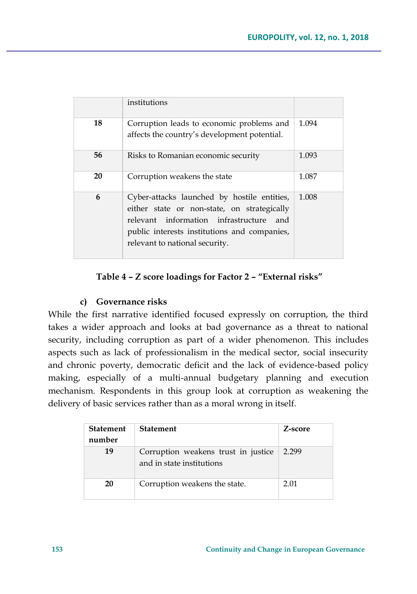|    | institutions                                                                                                                                                                                                               |       |
|----|----------------------------------------------------------------------------------------------------------------------------------------------------------------------------------------------------------------------------|-------|
| 18 | Corruption leads to economic problems and<br>affects the country's development potential.                                                                                                                                  | 1.094 |
| 56 | Risks to Romanian economic security                                                                                                                                                                                        | 1.093 |
| 20 | Corruption weakens the state                                                                                                                                                                                               | 1.087 |
| 6  | Cyber-attacks launched by hostile entities,<br>either state or non-state, on strategically<br>relevant information infrastructure<br>and<br>public interests institutions and companies,<br>relevant to national security. | 1.008 |

## **Table 4 – Z score loadings for Factor 2 – "External risks"**

## **c) Governance risks**

While the first narrative identified focused expressly on corruption, the third takes a wider approach and looks at bad governance as a threat to national security, including corruption as part of a wider phenomenon. This includes aspects such as lack of professionalism in the medical sector, social insecurity and chronic poverty, democratic deficit and the lack of evidence-based policy making, especially of a multi-annual budgetary planning and execution mechanism. Respondents in this group look at corruption as weakening the delivery of basic services rather than as a moral wrong in itself.

| <b>Statement</b><br>number | <b>Statement</b>                                                 | Z-score |
|----------------------------|------------------------------------------------------------------|---------|
| 19                         | Corruption weakens trust in justice<br>and in state institutions | 2.299   |
| 20                         | Corruption weakens the state.                                    | 2.01    |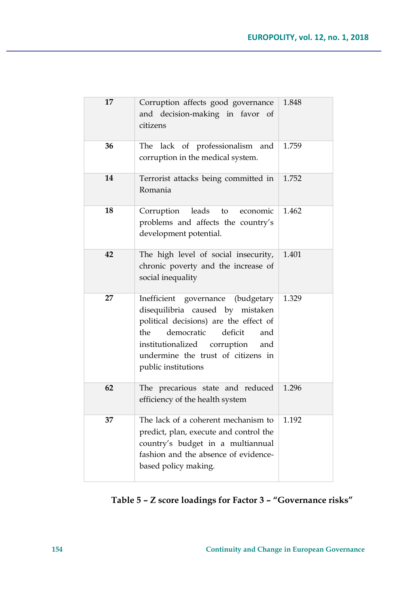| 17 | Corruption affects good governance<br>and decision-making in favor<br>- of<br>citizens                                                                                                                                                                           | 1.848 |
|----|------------------------------------------------------------------------------------------------------------------------------------------------------------------------------------------------------------------------------------------------------------------|-------|
| 36 | The lack of professionalism<br>and<br>corruption in the medical system.                                                                                                                                                                                          | 1.759 |
| 14 | Terrorist attacks being committed in<br>Romania                                                                                                                                                                                                                  | 1.752 |
| 18 | leads<br>Corruption<br>economic<br>to<br>problems and affects the country's<br>development potential.                                                                                                                                                            | 1.462 |
| 42 | The high level of social insecurity,<br>chronic poverty and the increase of<br>social inequality                                                                                                                                                                 | 1.401 |
| 27 | Inefficient governance<br>(budgetary<br>disequilibria caused by mistaken<br>political decisions) are the effect of<br>deficit<br>democratic<br>the<br>and<br>institutionalized<br>corruption<br>and<br>undermine the trust of citizens in<br>public institutions | 1.329 |
| 62 | The precarious state and reduced<br>efficiency of the health system                                                                                                                                                                                              | 1.296 |
| 37 | The lack of a coherent mechanism to<br>predict, plan, execute and control the<br>country's budget in a multiannual<br>fashion and the absence of evidence-<br>based policy making.                                                                               | 1.192 |

**Table 5 – Z score loadings for Factor 3 – "Governance risks"**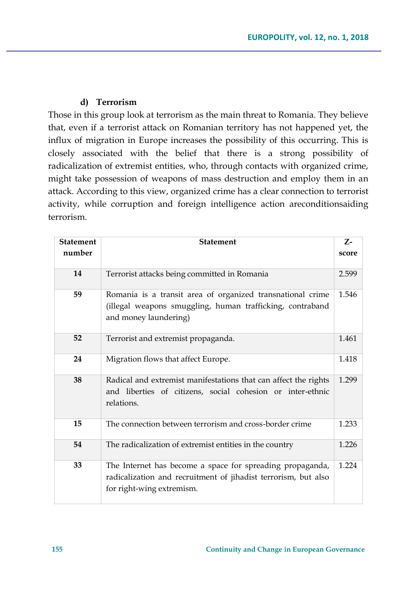## **d) Terrorism**

Those in this group look at terrorism as the main threat to Romania. They believe that, even if a terrorist attack on Romanian territory has not happened yet, the influx of migration in Europe increases the possibility of this occurring. This is closely associated with the belief that there is a strong possibility of radicalization of extremist entities, who, through contacts with organized crime, might take possession of weapons of mass destruction and employ them in an attack. According to this view, organized crime has a clear connection to terrorist activity, while corruption and foreign intelligence action areconditionsaiding terrorism.

| <b>Statement</b> | <b>Statement</b>                                                                                                                                         | $Z-$  |
|------------------|----------------------------------------------------------------------------------------------------------------------------------------------------------|-------|
| number           |                                                                                                                                                          | score |
| 14               | Terrorist attacks being committed in Romania                                                                                                             | 2.599 |
| 59               | Romania is a transit area of organized transnational crime<br>(illegal weapons smuggling, human trafficking, contraband<br>and money laundering)         | 1.546 |
| 52               | Terrorist and extremist propaganda.                                                                                                                      | 1.461 |
| 24               | Migration flows that affect Europe.                                                                                                                      | 1.418 |
| 38               | Radical and extremist manifestations that can affect the rights<br>and liberties of citizens, social cohesion or inter-ethnic<br>relations.              | 1.299 |
| 15               | The connection between terrorism and cross-border crime                                                                                                  | 1.233 |
| 54               | The radicalization of extremist entities in the country                                                                                                  | 1.226 |
| 33               | The Internet has become a space for spreading propaganda,<br>radicalization and recruitment of jihadist terrorism, but also<br>for right-wing extremism. | 1.224 |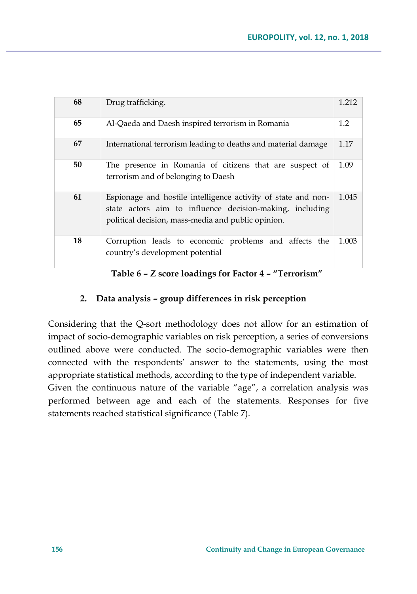| 68 | Drug trafficking.                                                                                                                                                               | 1.212 |
|----|---------------------------------------------------------------------------------------------------------------------------------------------------------------------------------|-------|
| 65 | Al-Qaeda and Daesh inspired terrorism in Romania                                                                                                                                | 1.2   |
| 67 | International terrorism leading to deaths and material damage                                                                                                                   | 1.17  |
| 50 | The presence in Romania of citizens that are suspect of<br>terrorism and of belonging to Daesh                                                                                  | 1.09  |
| 61 | Espionage and hostile intelligence activity of state and non-<br>state actors aim to influence decision-making, including<br>political decision, mass-media and public opinion. | 1.045 |
| 18 | Corruption leads to economic problems and affects the<br>country's development potential                                                                                        | 1.003 |

**Table 6 – Z score loadings for Factor 4 – "Terrorism"**

## **2. Data analysis – group differences in risk perception**

Considering that the Q-sort methodology does not allow for an estimation of impact of socio-demographic variables on risk perception, a series of conversions outlined above were conducted. The socio-demographic variables were then connected with the respondents' answer to the statements, using the most appropriate statistical methods, according to the type of independent variable.

Given the continuous nature of the variable "age", a correlation analysis was performed between age and each of the statements. Responses for five statements reached statistical significance (Table 7).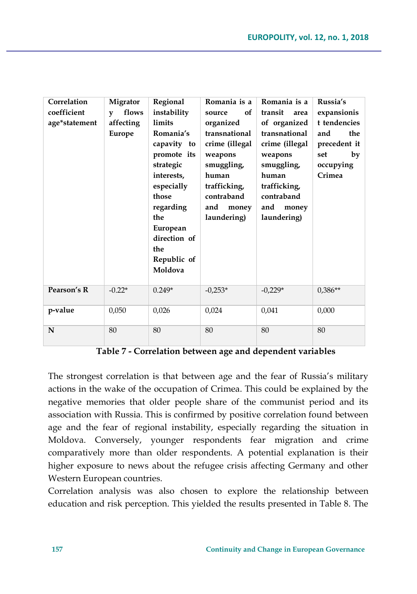| Correlation   | Migrator              | Regional      | Romania is a   | Romania is a    | Russia's     |
|---------------|-----------------------|---------------|----------------|-----------------|--------------|
| coefficient   | flows<br>$\mathbf{v}$ | instability   | оf<br>source   | transit<br>area | expansionis  |
| age*statement | affecting             | <b>limits</b> | organized      | of organized    | t tendencies |
|               | Europe                | Romania's     | transnational  | transnational   | the<br>and   |
|               |                       | capavity to   | crime (illegal | crime (illegal  | precedent it |
|               |                       | promote its   | weapons        | weapons         | set<br>by    |
|               |                       | strategic     | smuggling,     | smuggling,      | occupying    |
|               |                       | interests,    | human          | human           | Crimea       |
|               |                       | especially    | trafficking,   | trafficking,    |              |
|               |                       | those         | contraband     | contraband      |              |
|               |                       | regarding     | and<br>money   | and<br>money    |              |
|               |                       | the           | laundering)    | laundering)     |              |
|               |                       | European      |                |                 |              |
|               |                       | direction of  |                |                 |              |
|               |                       | the           |                |                 |              |
|               |                       | Republic of   |                |                 |              |
|               |                       | Moldova       |                |                 |              |
|               |                       |               |                |                 |              |
| Pearson's R   | $-0.22*$              | $0.249*$      | $-0,253*$      | $-0,229*$       | $0,386**$    |
|               |                       |               |                |                 |              |
| p-value       | 0,050                 | 0,026         | 0,024          | 0,041           | 0,000        |
|               |                       |               |                |                 |              |
|               |                       |               |                |                 |              |
| ${\bf N}$     | 80                    | 80            | 80             | 80              | 80           |

**Table 7 - Correlation between age and dependent variables** 

The strongest correlation is that between age and the fear of Russia's military actions in the wake of the occupation of Crimea. This could be explained by the negative memories that older people share of the communist period and its association with Russia. This is confirmed by positive correlation found between age and the fear of regional instability, especially regarding the situation in Moldova. Conversely, younger respondents fear migration and crime comparatively more than older respondents. A potential explanation is their higher exposure to news about the refugee crisis affecting Germany and other Western European countries.

Correlation analysis was also chosen to explore the relationship between education and risk perception. This yielded the results presented in Table 8. The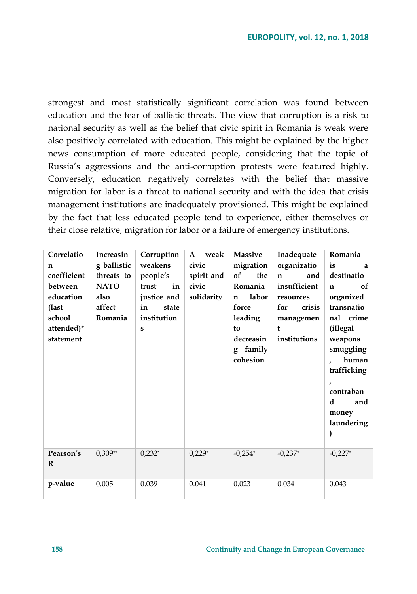strongest and most statistically significant correlation was found between education and the fear of ballistic threats. The view that corruption is a risk to national security as well as the belief that civic spirit in Romania is weak were also positively correlated with education. This might be explained by the higher news consumption of more educated people, considering that the topic of Russia's aggressions and the anti-corruption protests were featured highly. Conversely, education negatively correlates with the belief that massive migration for labor is a threat to national security and with the idea that crisis management institutions are inadequately provisioned. This might be explained by the fact that less educated people tend to experience, either themselves or their close relative, migration for labor or a failure of emergency institutions.

| Correlatio  | Increasin   | Corruption  | weak<br>A  | <b>Massive</b>       | Inadequate          | Romania      |
|-------------|-------------|-------------|------------|----------------------|---------------------|--------------|
| n           | g ballistic | weakens     | civic      | migration            | organizatio         | is<br>a      |
| coefficient | threats to  | people's    | spirit and | of<br>the            | and<br>$\mathbf{n}$ | destinatio   |
| between     | <b>NATO</b> | trust<br>in | civic      | Romania              | insufficient        | of<br>n      |
| education   | also        | justice and | solidarity | labor<br>$\mathbf n$ | resources           | organized    |
| (last       | affect      | in<br>state |            | force                | for<br>crisis       | transnatio   |
| school      | Romania     | institution |            | leading              | managemen           | nal crime    |
| attended)*  |             | ${\bf S}$   |            | to                   | t                   | (illegal     |
| statement   |             |             |            | decreasin            | institutions        | weapons      |
|             |             |             |            | family<br>g          |                     | smuggling    |
|             |             |             |            | cohesion             |                     | human        |
|             |             |             |            |                      |                     | trafficking  |
|             |             |             |            |                      |                     | $\mathbf{r}$ |
|             |             |             |            |                      |                     | contraban    |
|             |             |             |            |                      |                     | d<br>and     |
|             |             |             |            |                      |                     | money        |
|             |             |             |            |                      |                     | laundering   |
|             |             |             |            |                      |                     | )            |
|             |             |             |            |                      |                     |              |
| Pearson's   | $0,309**$   | $0.232*$    | $0,229*$   | $-0.254*$            | $-0.237*$           | $-0.227*$    |
| R           |             |             |            |                      |                     |              |
|             |             |             |            |                      |                     |              |
| p-value     | 0.005       | 0.039       | 0.041      | 0.023                | 0.034               | 0.043        |
|             |             |             |            |                      |                     |              |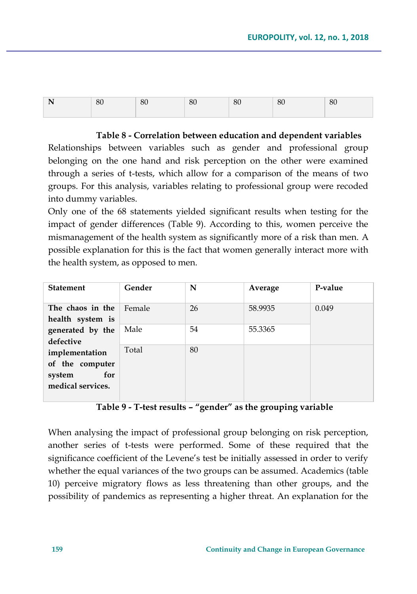| N | 80 | 80 | 80 | 80 | 80 | 80 |
|---|----|----|----|----|----|----|
|   |    |    |    |    |    |    |

#### **Table 8 - Correlation between education and dependent variables**

Relationships between variables such as gender and professional group belonging on the one hand and risk perception on the other were examined through a series of t-tests, which allow for a comparison of the means of two groups. For this analysis, variables relating to professional group were recoded into dummy variables.

Only one of the 68 statements yielded significant results when testing for the impact of gender differences (Table 9). According to this, women perceive the mismanagement of the health system as significantly more of a risk than men. A possible explanation for this is the fact that women generally interact more with the health system, as opposed to men.

| <b>Statement</b>                                                        | Gender | N  | Average | P-value |
|-------------------------------------------------------------------------|--------|----|---------|---------|
| The chaos in the<br>health system is                                    | Female | 26 | 58.9935 | 0.049   |
| generated by the<br>defective                                           | Male   | 54 | 55.3365 |         |
| implementation<br>of the computer<br>for<br>system<br>medical services. | Total  | 80 |         |         |

### **Table 9 - T-test results – "gender" as the grouping variable**

When analysing the impact of professional group belonging on risk perception, another series of t-tests were performed. Some of these required that the significance coefficient of the Levene's test be initially assessed in order to verify whether the equal variances of the two groups can be assumed. Academics (table 10) perceive migratory flows as less threatening than other groups, and the possibility of pandemics as representing a higher threat. An explanation for the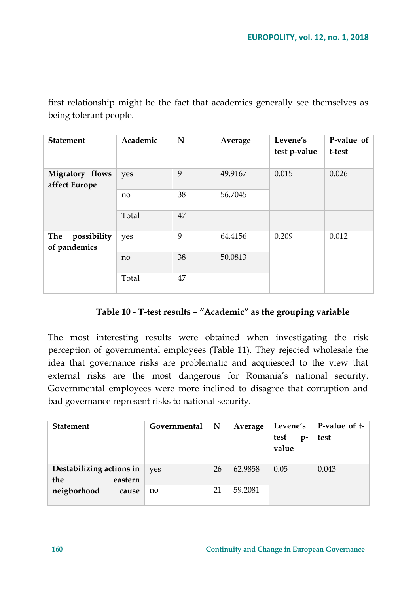first relationship might be the fact that academics generally see themselves as being tolerant people.

| <b>Statement</b>                   | Academic | N  | Average | Levene's<br>test p-value | P-value of<br>t-test |
|------------------------------------|----------|----|---------|--------------------------|----------------------|
| Migratory flows<br>affect Europe   | yes      | 9  | 49.9167 | 0.015                    | 0.026                |
|                                    | no       | 38 | 56.7045 |                          |                      |
|                                    | Total    | 47 |         |                          |                      |
| possibility<br>The<br>of pandemics | yes      | 9  | 64.4156 | 0.209                    | 0.012                |
|                                    | no       | 38 | 50.0813 |                          |                      |
|                                    | Total    | 47 |         |                          |                      |

## **Table 10 - T-test results – "Academic" as the grouping variable**

The most interesting results were obtained when investigating the risk perception of governmental employees (Table 11). They rejected wholesale the idea that governance risks are problematic and acquiesced to the view that external risks are the most dangerous for Romania's national security. Governmental employees were more inclined to disagree that corruption and bad governance represent risks to national security.

| <b>Statement</b>                           | Governmental | N  | Average | Levene's              | P-value of t- |
|--------------------------------------------|--------------|----|---------|-----------------------|---------------|
|                                            |              |    |         | test<br>$p-$<br>value | test          |
| Destabilizing actions in<br>the<br>eastern | ves          | 26 | 62.9858 | 0.05                  | 0.043         |
| neigborhood<br>cause                       | no           | 21 | 59.2081 |                       |               |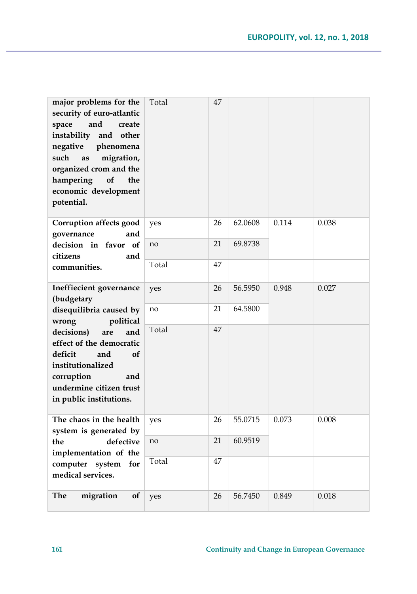| major problems for the<br>security of euro-atlantic<br>and<br>space<br>create<br>instability<br>and other<br>negative<br>phenomena<br>migration,<br>such<br>as<br>organized crom and the<br>hampering<br>of<br>the<br>economic development<br>potential. | Total | 47 |         |       |       |
|----------------------------------------------------------------------------------------------------------------------------------------------------------------------------------------------------------------------------------------------------------|-------|----|---------|-------|-------|
| Corruption affects good<br>governance<br>and                                                                                                                                                                                                             | yes   | 26 | 62.0608 | 0.114 | 0.038 |
| decision in favor of<br>citizens<br>and                                                                                                                                                                                                                  | no    | 21 | 69.8738 |       |       |
| communities.                                                                                                                                                                                                                                             | Total | 47 |         |       |       |
| Ineffiecient governance<br>(budgetary                                                                                                                                                                                                                    | yes   | 26 | 56.5950 | 0.948 | 0.027 |
| disequilibria caused by<br>wrong<br>political                                                                                                                                                                                                            | no    | 21 | 64.5800 |       |       |
| decisions)<br>are<br>and<br>effect of the democratic<br>deficit<br>and<br>of<br>institutionalized<br>corruption<br>and<br>undermine citizen trust<br>in public institutions.                                                                             | Total | 47 |         |       |       |
| The chaos in the health<br>system is generated by                                                                                                                                                                                                        | yes   | 26 | 55.0715 | 0.073 | 0.008 |
| defective<br>the<br>implementation of the                                                                                                                                                                                                                | no    | 21 | 60.9519 |       |       |
| computer system<br>for<br>medical services.                                                                                                                                                                                                              | Total | 47 |         |       |       |
| <b>The</b><br>migration<br>of                                                                                                                                                                                                                            | yes   | 26 | 56.7450 | 0.849 | 0.018 |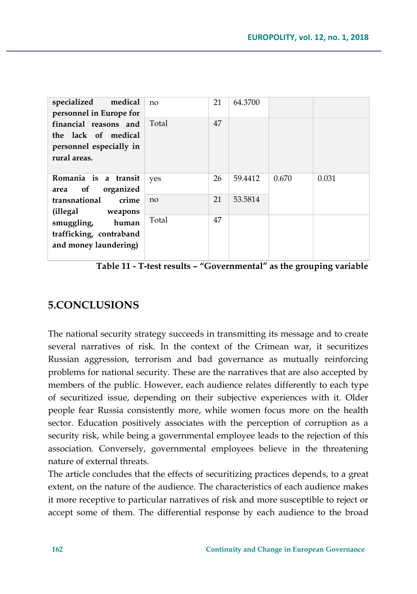| specialized<br>medical<br>personnel in Europe for                                       | no    | 21 | 64.3700 |       |       |
|-----------------------------------------------------------------------------------------|-------|----|---------|-------|-------|
| financial reasons and<br>the lack of medical<br>personnel especially in<br>rural areas. | Total | 47 |         |       |       |
| Romania is a transit<br>of<br>organized<br>area                                         | yes   | 26 | 59.4412 | 0.670 | 0.031 |
| transnational<br>crime<br>(illegal weapons                                              | no    | 21 | 53.5814 |       |       |
| smuggling,<br>human<br>trafficking, contraband<br>and money laundering)                 | Total | 47 |         |       |       |

**Table 11 - T-test results – "Governmental" as the grouping variable** 

## **5.CONCLUSIONS**

The national security strategy succeeds in transmitting its message and to create several narratives of risk. In the context of the Crimean war, it securitizes Russian aggression, terrorism and bad governance as mutually reinforcing problems for national security. These are the narratives that are also accepted by members of the public. However, each audience relates differently to each type of securitized issue, depending on their subjective experiences with it. Older people fear Russia consistently more, while women focus more on the health sector. Education positively associates with the perception of corruption as a security risk, while being a governmental employee leads to the rejection of this association. Conversely, governmental employees believe in the threatening nature of external threats.

The article concludes that the effects of securitizing practices depends, to a great extent, on the nature of the audience. The characteristics of each audience makes it more receptive to particular narratives of risk and more susceptible to reject or accept some of them. The differential response by each audience to the broad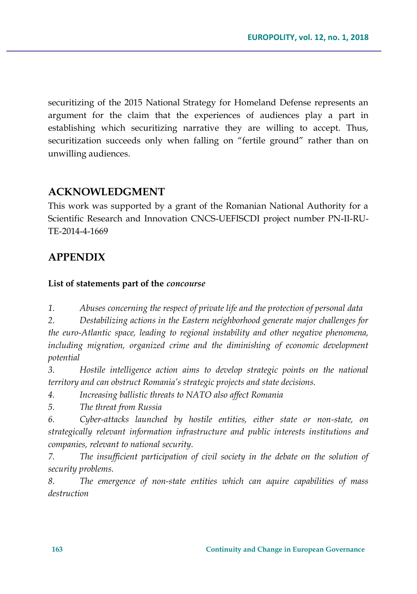securitizing of the 2015 National Strategy for Homeland Defense represents an argument for the claim that the experiences of audiences play a part in establishing which securitizing narrative they are willing to accept. Thus, securitization succeeds only when falling on "fertile ground" rather than on unwilling audiences.

## **ACKNOWLEDGMENT**

This work was supported by a grant of the Romanian National Authority for a Scientific Research and Innovation CNCS-UEFISCDI project number PN-II-RU-TE-2014-4-1669

## **APPENDIX**

#### **List of statements part of the** *concourse*

*1. Abuses concerning the respect of private life and the protection of personal data* 

*2. Destabilizing actions in the Eastern neighborhood generate major challenges for the euro-Atlantic space, leading to regional instability and other negative phenomena,*  including migration, organized crime and the diminishing of economic development *potential* 

*3. Hostile intelligence action aims to develop strategic points on the national territory and can obstruct Romania's strategic projects and state decisions.* 

*4. Increasing ballistic threats to NATO also affect Romania* 

*5. The threat from Russia* 

*6. Cyber-attacks launched by hostile entities, either state or non-state, on strategically relevant information infrastructure and public interests institutions and companies, relevant to national security.* 

*7. The insufficient participation of civil society in the debate on the solution of security problems.* 

*8. The emergence of non-state entities which can aquire capabilities of mass destruction*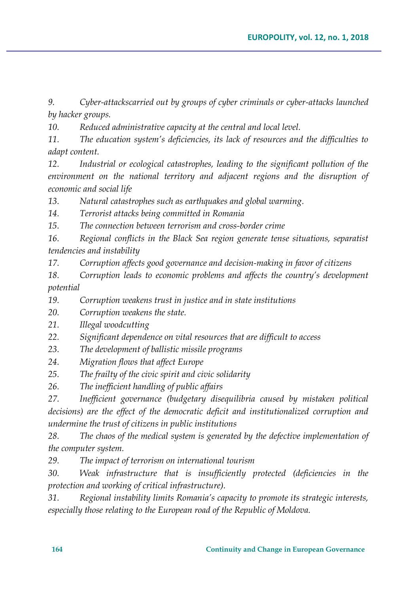*9. Cyber-attackscarried out by groups of cyber criminals or cyber-attacks launched by hacker groups.* 

*10. Reduced administrative capacity at the central and local level.* 

*11. The education system's deficiencies, its lack of resources and the difficulties to adapt content.* 

*12. Industrial or ecological catastrophes, leading to the significant pollution of the environment on the national territory and adjacent regions and the disruption of economic and social life* 

*13. Natural catastrophes such as earthquakes and global warming.*

*14. Terrorist attacks being committed in Romania* 

*15. The connection between terrorism and cross-border crime* 

*16. Regional conflicts in the Black Sea region generate tense situations, separatist tendencies and instability* 

*17. Corruption affects good governance and decision-making in favor of citizens* 

*18. Corruption leads to economic problems and affects the country's development potential* 

*19. Corruption weakens trust in justice and in state institutions* 

*20. Corruption weakens the state.* 

*21. Illegal woodcutting* 

*22. Significant dependence on vital resources that are difficult to access* 

*23. The development of ballistic missile programs* 

*24. Migration flows that affect Europe* 

*25. The frailty of the civic spirit and civic solidarity* 

*26. The inefficient handling of public affairs* 

*27. Inefficient governance (budgetary disequilibria caused by mistaken political decisions) are the effect of the democratic deficit and institutionalized corruption and undermine the trust of citizens in public institutions* 

*28. The chaos of the medical system is generated by the defective implementation of the computer system.* 

*29. The impact of terrorism on international tourism* 

*30. Weak infrastructure that is insufficiently protected (deficiencies in the protection and working of critical infrastructure).* 

*31. Regional instability limits Romania's capacity to promote its strategic interests, especially those relating to the European road of the Republic of Moldova.*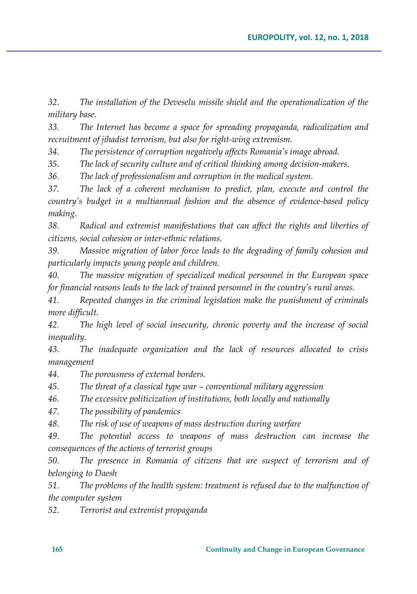*32. The installation of the Deveselu missile shield and the operationalization of the military base.* 

*33. The Internet has become a space for spreading propaganda, radicalization and recruitment of jihadist terrorism, but also for right-wing extremism.* 

*34. The persistence of corruption negatively affects Romania's image abroad.* 

*35. The lack of security culture and of critical thinking among decision-makers.* 

*36. The lack of professionalism and corruption in the medical system.* 

*37. The lack of a coherent mechanism to predict, plan, execute and control the country's budget in a multiannual fashion and the absence of evidence-based policy making.* 

*38. Radical and extremist manifestations that can affect the rights and liberties of citizens, social cohesion or inter-ethnic relations.* 

*39. Massive migration of labor force leads to the degrading of family cohesion and particularly impacts young people and children.* 

*40. The massive migration of specialized medical personnel in the European space for financial reasons leads to the lack of trained personnel in the country's rural areas.* 

*41. Repeated changes in the criminal legislation make the punishment of criminals more difficult.* 

*42. The high level of social insecurity, chronic poverty and the increase of social inequality.* 

*43. The inadequate organization and the lack of resources allocated to crisis management* 

*44. The porousness of external borders.* 

*45. The threat of a classical type war – conventional military aggression*

*46. The excessive politicization of institutions, both locally and nationally* 

*47. The possibility of pandemics* 

*48. The risk of use of weapons of mass destruction during warfare* 

*49. The potential access to weapons of mass destruction can increase the consequences of the actions of terrorist groups* 

*50. The presence in Romania of citizens that are suspect of terrorism and of belonging to Daesh*

*51. The problems of the health system: treatment is refused due to the malfunction of the computer system* 

*52. Terrorist and extremist propaganda*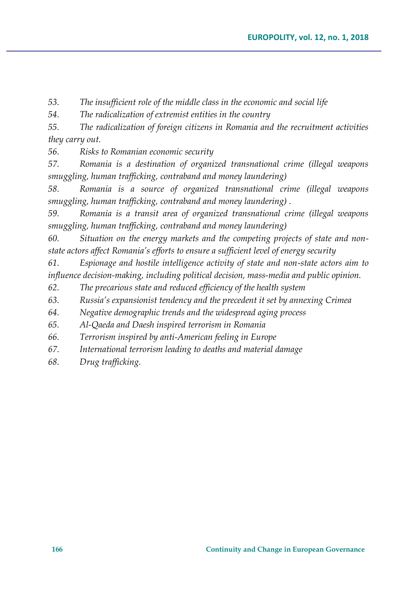*53. The insufficient role of the middle class in the economic and social life* 

*54. The radicalization of extremist entities in the country* 

*55. The radicalization of foreign citizens in Romania and the recruitment activities they carry out.* 

*56. Risks to Romanian economic security* 

*57. Romania is a destination of organized transnational crime (illegal weapons smuggling, human trafficking, contraband and money laundering)*

*58. Romania is a source of organized transnational crime (illegal weapons smuggling, human trafficking, contraband and money laundering) .*

*59. Romania is a transit area of organized transnational crime (illegal weapons smuggling, human trafficking, contraband and money laundering)* 

*60. Situation on the energy markets and the competing projects of state and nonstate actors affect Romania's efforts to ensure a sufficient level of energy security* 

*61. Espionage and hostile intelligence activity of state and non-state actors aim to influence decision-making, including political decision, mass-media and public opinion.* 

*62. The precarious state and reduced efficiency of the health system* 

*63. Russia's expansionist tendency and the precedent it set by annexing Crimea* 

*64. Negative demographic trends and the widespread aging process* 

*65. Al-Qaeda and Daesh inspired terrorism in Romania* 

*66. Terrorism inspired by anti-American feeling in Europe* 

*67. International terrorism leading to deaths and material damage* 

*68. Drug trafficking.*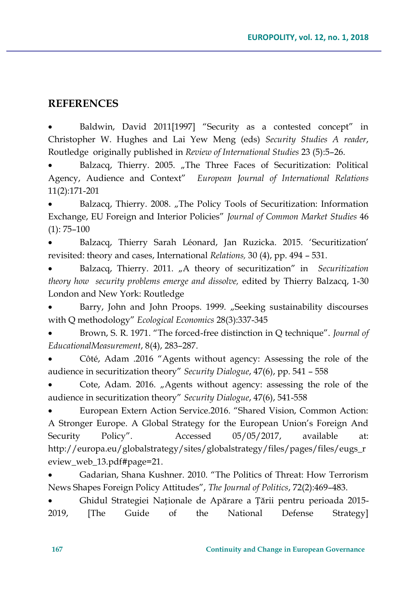## **REFERENCES**

 Baldwin, David 2011[1997] "Security as a contested concept" in Christopher W. Hughes and Lai Yew Meng (eds) *Security Studies A reader*, Routledge originally published in *Review of International Studies* 23 (5):5–26.

Balzacq, Thierry. 2005. "The Three Faces of Securitization: Political Agency, Audience and Context" *European Journal of International Relations* 11(2):171-201

Balzacq, Thierry. 2008. "The Policy Tools of Securitization: Information Exchange, EU Foreign and Interior Policies" *Journal of Common Market Studies* 46 (1): 75–100

 Balzacq, Thierry Sarah Léonard, Jan Ruzicka. 2015. 'Securitization' revisited: theory and cases, International *Relations,* 30 (4), pp. 494 – 531.

Balzacq, Thierry. 2011. "A theory of securitization" in *Securitization theory how security problems emerge and dissolve,* edited by Thierry Balzacq, 1-30 London and New York: Routledge

Barry, John and John Proops. 1999. "Seeking sustainability discourses with Q methodology" *Ecological Economics* 28(3):337-345

 Brown, S. R. 1971. "The forced-free distinction in Q technique". *Journal of EducationalMeasurement*, 8(4), 283–287.

 Côté, Adam .2016 "Agents without agency: Assessing the role of the audience in securitization theory" *Security Dialogue*, 47(6), pp. 541 – 558

Cote, Adam. 2016. "Agents without agency: assessing the role of the audience in securitization theory" *Security Dialogue*, 47(6), 541-558

 European Extern Action Service.2016. "Shared Vision, Common Action: A Stronger Europe. A Global Strategy for the European Union's Foreign And Security Policy". Accessed 05/05/2017, available at: http://europa.eu/globalstrategy/sites/globalstrategy/files/pages/files/eugs\_r eview\_web\_13.pdf#page=21.

 Gadarian, Shana Kushner. 2010. "The Politics of Threat: How Terrorism News Shapes Foreign Policy Attitudes", *The Journal of Politics*, 72(2):469–483.

 Ghidul Strategiei Naționale de Apărare a Țării pentru perioada 2015- 2019, [The Guide of the National Defense Strategy]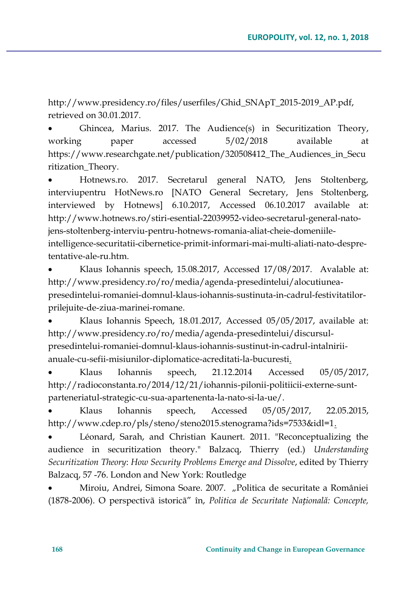http://www.presidency.ro/files/userfiles/Ghid\_SNApT\_2015-2019\_AP.pdf, retrieved on 30.01.2017.

 Ghincea, Marius. 2017. The Audience(s) in Securitization Theory, working paper accessed 5/02/2018 available at https://www.researchgate.net/publication/320508412\_The\_Audiences\_in\_Secu ritization\_Theory.

 Hotnews.ro. 2017. Secretarul general NATO, Jens Stoltenberg, interviupentru HotNews.ro [NATO General Secretary, Jens Stoltenberg, interviewed by Hotnews] 6.10.2017, Accessed 06.10.2017 available at: http://www.hotnews.ro/stiri-esential-22039952-video-secretarul-general-natojens-stoltenberg-interviu-pentru-hotnews-romania-aliat-cheie-domeniileintelligence-securitatii-cibernetice-primit-informari-mai-multi-aliati-nato-despretentative-ale-ru.htm.

 Klaus Iohannis speech, 15.08.2017, Accessed 17/08/2017. Avalable at: http://www.presidency.ro/ro/media/agenda-presedintelui/alocutiuneapresedintelui-romaniei-domnul-klaus-iohannis-sustinuta-in-cadrul-festivitatilorprilejuite-de-ziua-marinei-romane.

 Klaus Iohannis Speech, 18.01.2017, Accessed 05/05/2017, available at: http://www.presidency.ro/ro/media/agenda-presedintelui/discursulpresedintelui-romaniei-domnul-klaus-iohannis-sustinut-in-cadrul-intalniriianuale-cu-sefii-misiunilor-diplomatice-acreditati-la-bucuresti.

 Klaus Iohannis speech, 21.12.2014 Accessed 05/05/2017, http://radioconstanta.ro/2014/12/21/iohannis-pilonii-politiicii-externe-suntparteneriatul-strategic-cu-sua-apartenenta-la-nato-si-la-ue/.

 Klaus Iohannis speech, Accessed 05/05/2017, 22.05.2015, http://www.cdep.ro/pls/steno/steno2015.stenograma?ids=7533&idl=1.

 Léonard, Sarah, and Christian Kaunert. 2011. "Reconceptualizing the audience in securitization theory." Balzacq, Thierry (ed.) *Understanding Securitization Theory*: *How Security Problems Emerge and Dissolve*, edited by Thierry Balzacq, 57 -76. London and New York: Routledge

 Miroiu, Andrei, Simona Soare. 2007. "Politica de securitate a României (1878-2006). O perspectivã istoricã" în, *Politica de Securitate Națională: Concepte,*